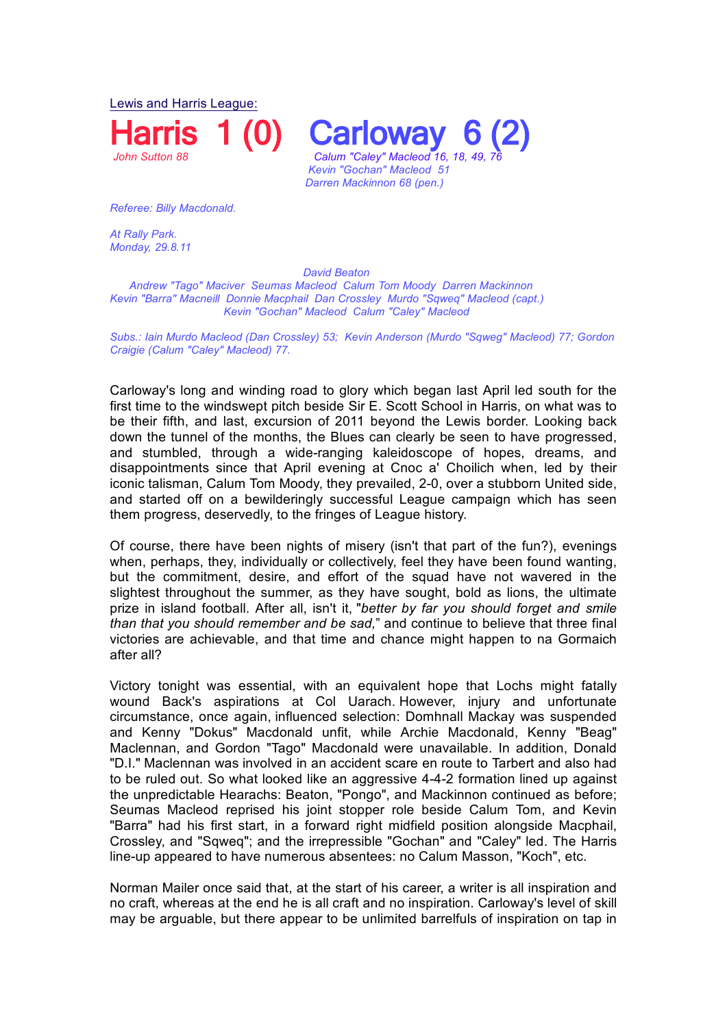Lewis and Harris League:

**Harris 1 (0) Carloway**<br>
Calum "Calev" Macleod 16 *John Sutton 88 Calum "Caley" Macleod 16, 18, 49, 76* 

*Kevin "Gochan" Macleod 51 Darren Mackinnon 68 (pen.)* 

*Referee: Billy Macdonald.*

At Rally Park. *Monday, 29.8.11* 

 *David Beaton Andrew "Tago" Maciver Seumas Macleod Calum Tom Moody Darren Mackinnon Kevin "Barra" Macneill Donnie Macphail Dan Crossley Murdo "Sqweq" Macleod (capt.) Kevin "Gochan" Macleod Calum "Caley" Macleod* 

*Subs.: Iain Murdo Macleod (Dan Crossley) 53; Kevin Anderson (Murdo "Sqweg" Macleod) 77; Gordon Craigie (Calum "Caley" Macleod) 77.*

Carloway's long and winding road to glory which began last April led south for the first time to the windswept pitch beside Sir E. Scott School in Harris, on what was to be their fifth, and last, excursion of 2011 beyond the Lewis border. Looking back down the tunnel of the months, the Blues can clearly be seen to have progressed, and stumbled, through a wide-ranging kaleidoscope of hopes, dreams, and disappointments since that April evening at Cnoc a' Choilich when, led by their iconic talisman, Calum Tom Moody, they prevailed, 2-0, over a stubborn United side, and started off on a bewilderingly successful League campaign which has seen them progress, deservedly, to the fringes of League history.

Of course, there have been nights of misery (isn't that part of the fun?), evenings when, perhaps, they, individually or collectively, feel they have been found wanting, but the commitment, desire, and effort of the squad have not wavered in the slightest throughout the summer, as they have sought, bold as lions, the ultimate prize in island football. After all, isn't it, "*better by far you should forget and smile than that you should remember and be sad,*" and continue to believe that three final victories are achievable, and that time and chance might happen to na Gormaich after all?

Victory tonight was essential, with an equivalent hope that Lochs might fatally wound Back's aspirations at Col Uarach. However, injury and unfortunate circumstance, once again, influenced selection: Domhnall Mackay was suspended and Kenny "Dokus" Macdonald unfit, while Archie Macdonald, Kenny "Beag" Maclennan, and Gordon "Tago" Macdonald were unavailable. In addition, Donald "D.I." Maclennan was involved in an accident scare en route to Tarbert and also had to be ruled out. So what looked like an aggressive 4-4-2 formation lined up against the unpredictable Hearachs: Beaton, "Pongo", and Mackinnon continued as before; Seumas Macleod reprised his joint stopper role beside Calum Tom, and Kevin "Barra" had his first start, in a forward right midfield position alongside Macphail, Crossley, and "Sqweq"; and the irrepressible "Gochan" and "Caley" led. The Harris line-up appeared to have numerous absentees: no Calum Masson, "Koch", etc.

Norman Mailer once said that, at the start of his career, a writer is all inspiration and no craft, whereas at the end he is all craft and no inspiration. Carloway's level of skill may be arguable, but there appear to be unlimited barrelfuls of inspiration on tap in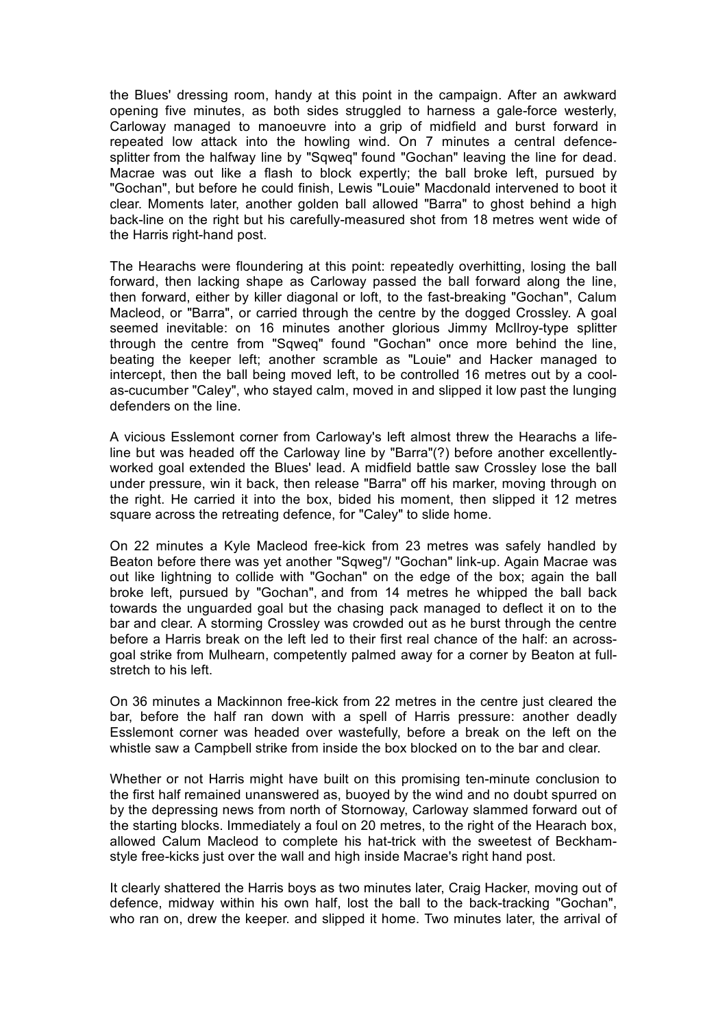the Blues' dressing room, handy at this point in the campaign. After an awkward opening five minutes, as both sides struggled to harness a gale-force westerly, Carloway managed to manoeuvre into a grip of midfield and burst forward in repeated low attack into the howling wind. On 7 minutes a central defencesplitter from the halfway line by "Sqweq" found "Gochan" leaving the line for dead. Macrae was out like a flash to block expertly; the ball broke left, pursued by "Gochan", but before he could finish, Lewis "Louie" Macdonald intervened to boot it clear. Moments later, another golden ball allowed "Barra" to ghost behind a high back-line on the right but his carefully-measured shot from 18 metres went wide of the Harris right-hand post.

The Hearachs were floundering at this point: repeatedly overhitting, losing the ball forward, then lacking shape as Carloway passed the ball forward along the line, then forward, either by killer diagonal or loft, to the fast-breaking "Gochan", Calum Macleod, or "Barra", or carried through the centre by the dogged Crossley. A goal seemed inevitable: on 16 minutes another glorious Jimmy McIlroy-type splitter through the centre from "Sqweq" found "Gochan" once more behind the line, beating the keeper left; another scramble as "Louie" and Hacker managed to intercept, then the ball being moved left, to be controlled 16 metres out by a coolas-cucumber "Caley", who stayed calm, moved in and slipped it low past the lunging defenders on the line.

A vicious Esslemont corner from Carloway's left almost threw the Hearachs a lifeline but was headed off the Carloway line by "Barra"(?) before another excellentlyworked goal extended the Blues' lead. A midfield battle saw Crossley lose the ball under pressure, win it back, then release "Barra" off his marker, moving through on the right. He carried it into the box, bided his moment, then slipped it 12 metres square across the retreating defence, for "Caley" to slide home.

On 22 minutes a Kyle Macleod free-kick from 23 metres was safely handled by Beaton before there was yet another "Sqweg"/ "Gochan" link-up. Again Macrae was out like lightning to collide with "Gochan" on the edge of the box; again the ball broke left, pursued by "Gochan", and from 14 metres he whipped the ball back towards the unguarded goal but the chasing pack managed to deflect it on to the bar and clear. A storming Crossley was crowded out as he burst through the centre before a Harris break on the left led to their first real chance of the half: an acrossgoal strike from Mulhearn, competently palmed away for a corner by Beaton at fullstretch to his left.

On 36 minutes a Mackinnon free-kick from 22 metres in the centre just cleared the bar, before the half ran down with a spell of Harris pressure: another deadly Esslemont corner was headed over wastefully, before a break on the left on the whistle saw a Campbell strike from inside the box blocked on to the bar and clear.

Whether or not Harris might have built on this promising ten-minute conclusion to the first half remained unanswered as, buoyed by the wind and no doubt spurred on by the depressing news from north of Stornoway, Carloway slammed forward out of the starting blocks. Immediately a foul on 20 metres, to the right of the Hearach box, allowed Calum Macleod to complete his hat-trick with the sweetest of Beckhamstyle free-kicks just over the wall and high inside Macrae's right hand post.

It clearly shattered the Harris boys as two minutes later, Craig Hacker, moving out of defence, midway within his own half, lost the ball to the back-tracking "Gochan", who ran on, drew the keeper. and slipped it home. Two minutes later, the arrival of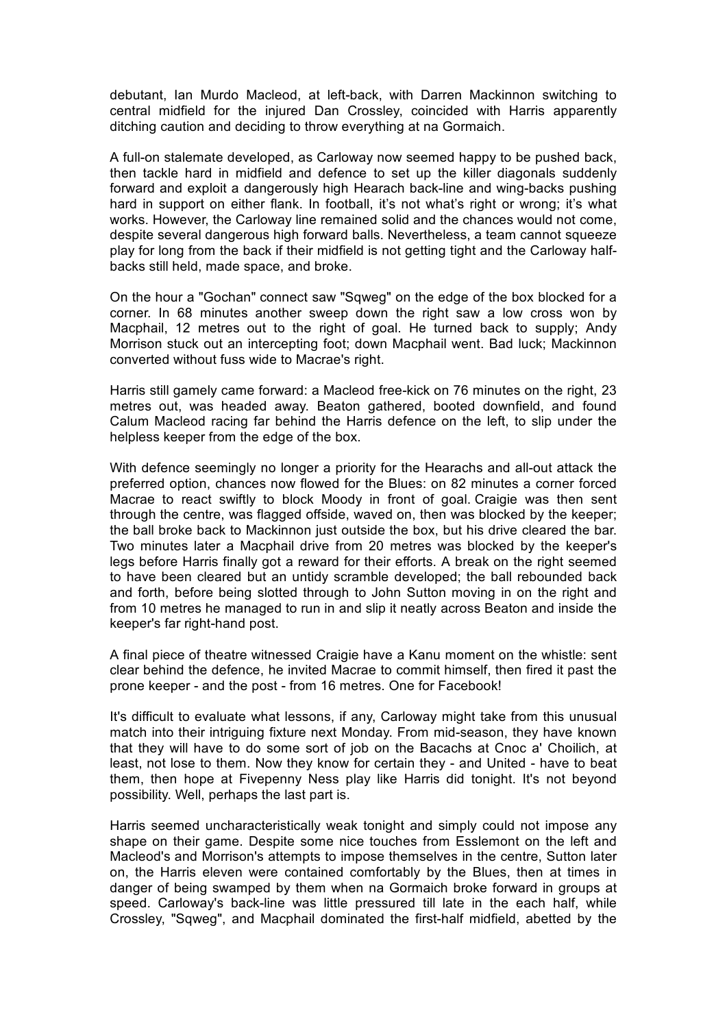debutant, Ian Murdo Macleod, at left-back, with Darren Mackinnon switching to central midfield for the injured Dan Crossley, coincided with Harris apparently ditching caution and deciding to throw everything at na Gormaich.

A full-on stalemate developed, as Carloway now seemed happy to be pushed back, then tackle hard in midfield and defence to set up the killer diagonals suddenly forward and exploit a dangerously high Hearach back-line and wing-backs pushing hard in support on either flank. In football, it's not what's right or wrong; it's what works. However, the Carloway line remained solid and the chances would not come, despite several dangerous high forward balls. Nevertheless, a team cannot squeeze play for long from the back if their midfield is not getting tight and the Carloway halfbacks still held, made space, and broke.

On the hour a "Gochan" connect saw "Sqweg" on the edge of the box blocked for a corner. In 68 minutes another sweep down the right saw a low cross won by Macphail, 12 metres out to the right of goal. He turned back to supply: Andy Morrison stuck out an intercepting foot; down Macphail went. Bad luck; Mackinnon converted without fuss wide to Macrae's right.

Harris still gamely came forward: a Macleod free-kick on 76 minutes on the right, 23 metres out, was headed away. Beaton gathered, booted downfield, and found Calum Macleod racing far behind the Harris defence on the left, to slip under the helpless keeper from the edge of the box.

With defence seemingly no longer a priority for the Hearachs and all-out attack the preferred option, chances now flowed for the Blues: on 82 minutes a corner forced Macrae to react swiftly to block Moody in front of goal. Craigie was then sent through the centre, was flagged offside, waved on, then was blocked by the keeper; the ball broke back to Mackinnon just outside the box, but his drive cleared the bar. Two minutes later a Macphail drive from 20 metres was blocked by the keeper's legs before Harris finally got a reward for their efforts. A break on the right seemed to have been cleared but an untidy scramble developed; the ball rebounded back and forth, before being slotted through to John Sutton moving in on the right and from 10 metres he managed to run in and slip it neatly across Beaton and inside the keeper's far right-hand post.

A final piece of theatre witnessed Craigie have a Kanu moment on the whistle: sent clear behind the defence, he invited Macrae to commit himself, then fired it past the prone keeper - and the post - from 16 metres. One for Facebook!

It's difficult to evaluate what lessons, if any, Carloway might take from this unusual match into their intriguing fixture next Monday. From mid-season, they have known that they will have to do some sort of job on the Bacachs at Cnoc a' Choilich, at least, not lose to them. Now they know for certain they - and United - have to beat them, then hope at Fivepenny Ness play like Harris did tonight. It's not beyond possibility. Well, perhaps the last part is.

Harris seemed uncharacteristically weak tonight and simply could not impose any shape on their game. Despite some nice touches from Esslemont on the left and Macleod's and Morrison's attempts to impose themselves in the centre, Sutton later on, the Harris eleven were contained comfortably by the Blues, then at times in danger of being swamped by them when na Gormaich broke forward in groups at speed. Carloway's back-line was little pressured till late in the each half, while Crossley, "Sqweg", and Macphail dominated the first-half midfield, abetted by the